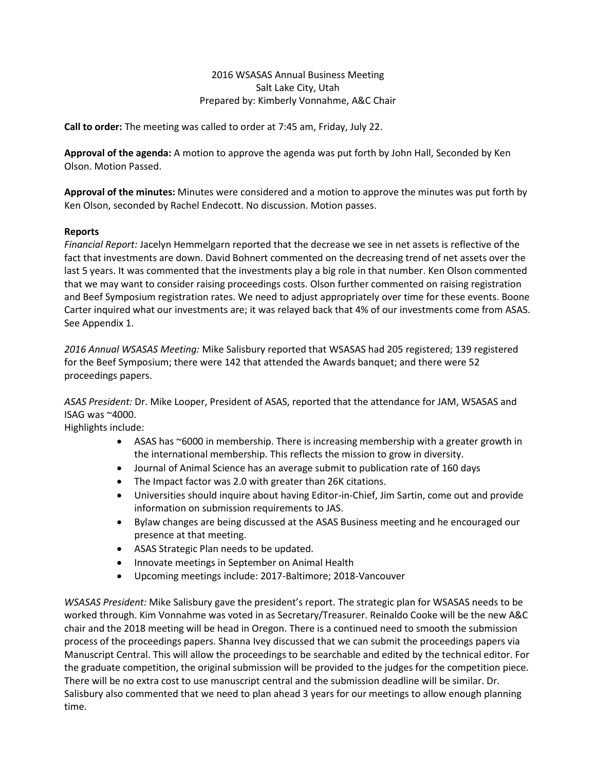#### 2016 WSASAS Annual Business Meeting Salt Lake City, Utah Prepared by: Kimberly Vonnahme, A&C Chair

**Call to order:** The meeting was called to order at 7:45 am, Friday, July 22.

**Approval of the agenda:** A motion to approve the agenda was put forth by John Hall, Seconded by Ken Olson. Motion Passed.

**Approval of the minutes:** Minutes were considered and a motion to approve the minutes was put forth by Ken Olson, seconded by Rachel Endecott. No discussion. Motion passes.

#### **Reports**

*Financial Report:* Jacelyn Hemmelgarn reported that the decrease we see in net assets is reflective of the fact that investments are down. David Bohnert commented on the decreasing trend of net assets over the last 5 years. It was commented that the investments play a big role in that number. Ken Olson commented that we may want to consider raising proceedings costs. Olson further commented on raising registration and Beef Symposium registration rates. We need to adjust appropriately over time for these events. Boone Carter inquired what our investments are; it was relayed back that 4% of our investments come from ASAS. See Appendix 1.

*2016 Annual WSASAS Meeting:* Mike Salisbury reported that WSASAS had 205 registered; 139 registered for the Beef Symposium; there were 142 that attended the Awards banquet; and there were 52 proceedings papers.

*ASAS President:* Dr. Mike Looper, President of ASAS, reported that the attendance for JAM, WSASAS and ISAG was ~4000.

Highlights include:

- ASAS has ~6000 in membership. There is increasing membership with a greater growth in the international membership. This reflects the mission to grow in diversity.
- Journal of Animal Science has an average submit to publication rate of 160 days
- The Impact factor was 2.0 with greater than 26K citations.
- Universities should inquire about having Editor-in-Chief, Jim Sartin, come out and provide information on submission requirements to JAS.
- Bylaw changes are being discussed at the ASAS Business meeting and he encouraged our presence at that meeting.
- ASAS Strategic Plan needs to be updated.
- Innovate meetings in September on Animal Health
- Upcoming meetings include: 2017-Baltimore; 2018-Vancouver

*WSASAS President:* Mike Salisbury gave the president's report. The strategic plan for WSASAS needs to be worked through. Kim Vonnahme was voted in as Secretary/Treasurer. Reinaldo Cooke will be the new A&C chair and the 2018 meeting will be head in Oregon. There is a continued need to smooth the submission process of the proceedings papers. Shanna Ivey discussed that we can submit the proceedings papers via Manuscript Central. This will allow the proceedings to be searchable and edited by the technical editor. For the graduate competition, the original submission will be provided to the judges for the competition piece. There will be no extra cost to use manuscript central and the submission deadline will be similar. Dr. Salisbury also commented that we need to plan ahead 3 years for our meetings to allow enough planning time.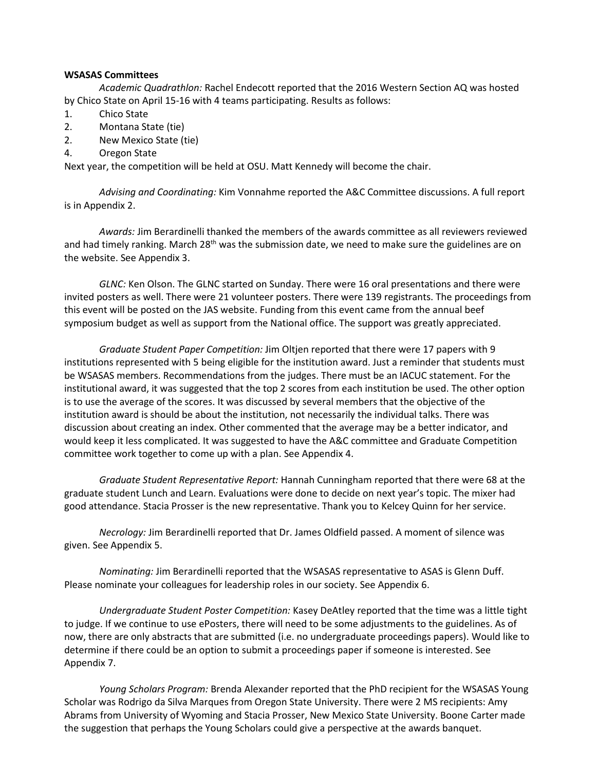#### **WSASAS Committees**

*Academic Quadrathlon:* Rachel Endecott reported that the 2016 Western Section AQ was hosted by Chico State on April 15-16 with 4 teams participating. Results as follows:

- 1. Chico State
- 2. Montana State (tie)
- 2. New Mexico State (tie)
- 4. Oregon State

Next year, the competition will be held at OSU. Matt Kennedy will become the chair.

*Advising and Coordinating:* Kim Vonnahme reported the A&C Committee discussions. A full report is in Appendix 2.

*Awards:* Jim Berardinelli thanked the members of the awards committee as all reviewers reviewed and had timely ranking. March  $28<sup>th</sup>$  was the submission date, we need to make sure the guidelines are on the website. See Appendix 3.

*GLNC:* Ken Olson. The GLNC started on Sunday. There were 16 oral presentations and there were invited posters as well. There were 21 volunteer posters. There were 139 registrants. The proceedings from this event will be posted on the JAS website. Funding from this event came from the annual beef symposium budget as well as support from the National office. The support was greatly appreciated.

*Graduate Student Paper Competition:* Jim Oltjen reported that there were 17 papers with 9 institutions represented with 5 being eligible for the institution award. Just a reminder that students must be WSASAS members. Recommendations from the judges. There must be an IACUC statement. For the institutional award, it was suggested that the top 2 scores from each institution be used. The other option is to use the average of the scores. It was discussed by several members that the objective of the institution award is should be about the institution, not necessarily the individual talks. There was discussion about creating an index. Other commented that the average may be a better indicator, and would keep it less complicated. It was suggested to have the A&C committee and Graduate Competition committee work together to come up with a plan. See Appendix 4.

*Graduate Student Representative Report:* Hannah Cunningham reported that there were 68 at the graduate student Lunch and Learn. Evaluations were done to decide on next year's topic. The mixer had good attendance. Stacia Prosser is the new representative. Thank you to Kelcey Quinn for her service.

*Necrology:* Jim Berardinelli reported that Dr. James Oldfield passed. A moment of silence was given. See Appendix 5.

*Nominating:* Jim Berardinelli reported that the WSASAS representative to ASAS is Glenn Duff. Please nominate your colleagues for leadership roles in our society. See Appendix 6.

*Undergraduate Student Poster Competition:* Kasey DeAtley reported that the time was a little tight to judge. If we continue to use ePosters, there will need to be some adjustments to the guidelines. As of now, there are only abstracts that are submitted (i.e. no undergraduate proceedings papers). Would like to determine if there could be an option to submit a proceedings paper if someone is interested. See Appendix 7.

*Young Scholars Program:* Brenda Alexander reported that the PhD recipient for the WSASAS Young Scholar was Rodrigo da Silva Marques from Oregon State University. There were 2 MS recipients: Amy Abrams from University of Wyoming and Stacia Prosser, New Mexico State University. Boone Carter made the suggestion that perhaps the Young Scholars could give a perspective at the awards banquet.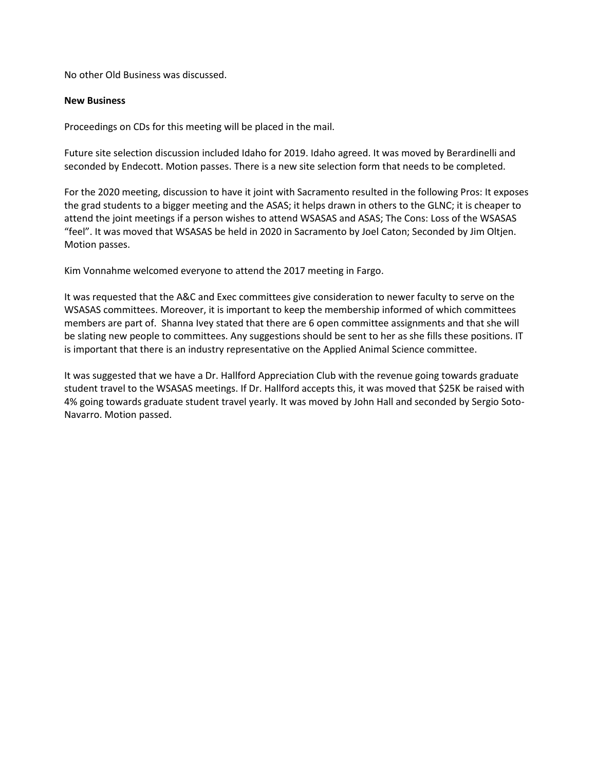No other Old Business was discussed.

#### **New Business**

Proceedings on CDs for this meeting will be placed in the mail.

Future site selection discussion included Idaho for 2019. Idaho agreed. It was moved by Berardinelli and seconded by Endecott. Motion passes. There is a new site selection form that needs to be completed.

For the 2020 meeting, discussion to have it joint with Sacramento resulted in the following Pros: It exposes the grad students to a bigger meeting and the ASAS; it helps drawn in others to the GLNC; it is cheaper to attend the joint meetings if a person wishes to attend WSASAS and ASAS; The Cons: Loss of the WSASAS "feel". It was moved that WSASAS be held in 2020 in Sacramento by Joel Caton; Seconded by Jim Oltjen. Motion passes.

Kim Vonnahme welcomed everyone to attend the 2017 meeting in Fargo.

It was requested that the A&C and Exec committees give consideration to newer faculty to serve on the WSASAS committees. Moreover, it is important to keep the membership informed of which committees members are part of. Shanna Ivey stated that there are 6 open committee assignments and that she will be slating new people to committees. Any suggestions should be sent to her as she fills these positions. IT is important that there is an industry representative on the Applied Animal Science committee.

It was suggested that we have a Dr. Hallford Appreciation Club with the revenue going towards graduate student travel to the WSASAS meetings. If Dr. Hallford accepts this, it was moved that \$25K be raised with 4% going towards graduate student travel yearly. It was moved by John Hall and seconded by Sergio Soto-Navarro. Motion passed.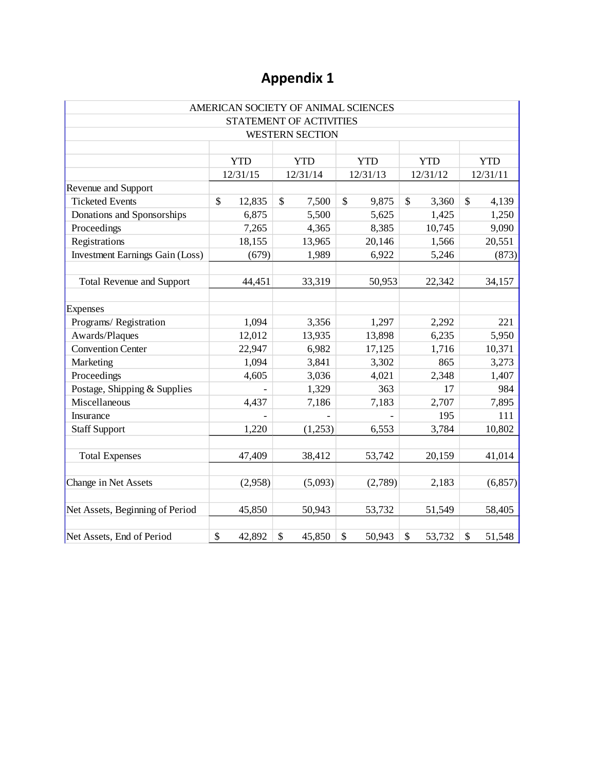|                                        |              |         | AMERICAN SOCIETY OF ANIMAL SCIENCES |                           |         |            |        |            |          |
|----------------------------------------|--------------|---------|-------------------------------------|---------------------------|---------|------------|--------|------------|----------|
|                                        |              |         | <b>STATEMENT OF ACTIVITIES</b>      |                           |         |            |        |            |          |
|                                        |              |         | <b>WESTERN SECTION</b>              |                           |         |            |        |            |          |
|                                        |              |         |                                     |                           |         |            |        |            |          |
|                                        | <b>YTD</b>   |         | <b>YTD</b>                          | <b>YTD</b>                |         | <b>YTD</b> |        | <b>YTD</b> |          |
|                                        | 12/31/15     |         | 12/31/14                            | 12/31/13                  |         | 12/31/12   |        | 12/31/11   |          |
| Revenue and Support                    |              |         |                                     |                           |         |            |        |            |          |
| <b>Ticketed Events</b>                 | $\mathbb{S}$ | 12,835  | \$<br>7,500                         | $\boldsymbol{\mathsf{S}}$ | 9,875   | \$         | 3,360  | \$         | 4,139    |
| Donations and Sponsorships             |              | 6,875   | 5,500                               |                           | 5,625   |            | 1,425  |            | 1,250    |
| Proceedings                            |              | 7,265   | 4,365                               |                           | 8,385   |            | 10,745 |            | 9,090    |
| Registrations                          |              | 18,155  | 13,965                              |                           | 20,146  |            | 1,566  |            | 20,551   |
| <b>Investment Earnings Gain (Loss)</b> |              | (679)   | 1,989                               |                           | 6,922   |            | 5,246  |            | (873)    |
| <b>Total Revenue and Support</b>       |              | 44,451  | 33,319                              |                           | 50,953  |            | 22,342 |            | 34,157   |
| Expenses                               |              |         |                                     |                           |         |            |        |            |          |
| Programs/Registration                  |              | 1,094   | 3,356                               |                           | 1,297   |            | 2,292  |            | 221      |
| Awards/Plaques                         |              | 12,012  | 13,935                              |                           | 13,898  |            | 6,235  |            | 5,950    |
| <b>Convention Center</b>               |              | 22,947  | 6,982                               |                           | 17,125  |            | 1,716  |            | 10,371   |
| Marketing                              |              | 1,094   | 3,841                               |                           | 3,302   |            | 865    |            | 3,273    |
| Proceedings                            |              | 4,605   | 3,036                               |                           | 4,021   |            | 2,348  |            | 1,407    |
| Postage, Shipping & Supplies           |              |         | 1,329                               |                           | 363     |            | 17     |            | 984      |
| Miscellaneous                          |              | 4,437   | 7,186                               |                           | 7,183   |            | 2,707  |            | 7,895    |
| Insurance                              |              |         |                                     |                           |         |            | 195    |            | 111      |
| <b>Staff Support</b>                   |              | 1,220   | (1,253)                             |                           | 6,553   |            | 3,784  |            | 10,802   |
| <b>Total Expenses</b>                  |              | 47,409  | 38,412                              |                           | 53,742  |            | 20,159 |            | 41,014   |
| Change in Net Assets                   |              | (2,958) | (5,093)                             |                           | (2,789) |            | 2,183  |            | (6, 857) |
| Net Assets, Beginning of Period        |              | 45,850  | 50,943                              |                           | 53,732  |            | 51,549 |            | 58,405   |
| Net Assets, End of Period              | \$           | 42,892  | \$<br>45,850                        | \$                        | 50,943  | \$         | 53,732 | \$         | 51,548   |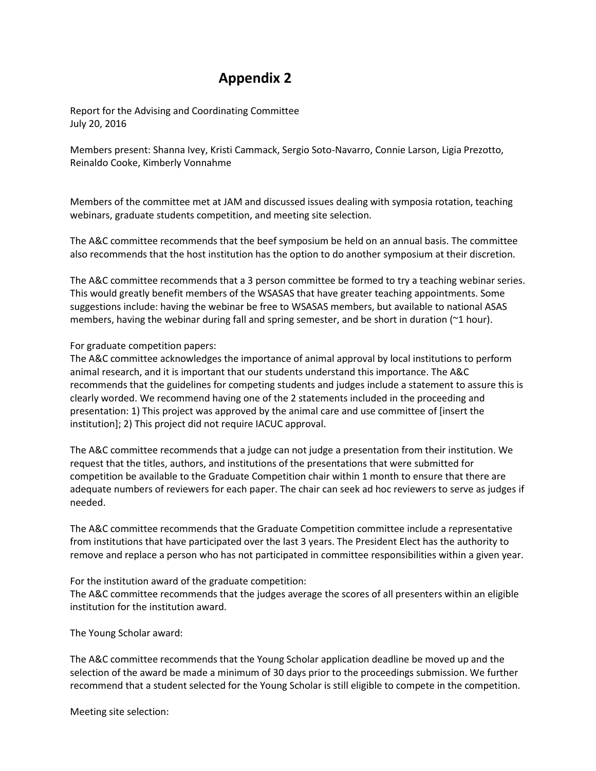Report for the Advising and Coordinating Committee July 20, 2016

Members present: Shanna Ivey, Kristi Cammack, Sergio Soto-Navarro, Connie Larson, Ligia Prezotto, Reinaldo Cooke, Kimberly Vonnahme

Members of the committee met at JAM and discussed issues dealing with symposia rotation, teaching webinars, graduate students competition, and meeting site selection.

The A&C committee recommends that the beef symposium be held on an annual basis. The committee also recommends that the host institution has the option to do another symposium at their discretion.

The A&C committee recommends that a 3 person committee be formed to try a teaching webinar series. This would greatly benefit members of the WSASAS that have greater teaching appointments. Some suggestions include: having the webinar be free to WSASAS members, but available to national ASAS members, having the webinar during fall and spring semester, and be short in duration  $(21$  hour).

#### For graduate competition papers:

The A&C committee acknowledges the importance of animal approval by local institutions to perform animal research, and it is important that our students understand this importance. The A&C recommends that the guidelines for competing students and judges include a statement to assure this is clearly worded. We recommend having one of the 2 statements included in the proceeding and presentation: 1) This project was approved by the animal care and use committee of [insert the institution]; 2) This project did not require IACUC approval.

The A&C committee recommends that a judge can not judge a presentation from their institution. We request that the titles, authors, and institutions of the presentations that were submitted for competition be available to the Graduate Competition chair within 1 month to ensure that there are adequate numbers of reviewers for each paper. The chair can seek ad hoc reviewers to serve as judges if needed.

The A&C committee recommends that the Graduate Competition committee include a representative from institutions that have participated over the last 3 years. The President Elect has the authority to remove and replace a person who has not participated in committee responsibilities within a given year.

For the institution award of the graduate competition: The A&C committee recommends that the judges average the scores of all presenters within an eligible institution for the institution award.

The Young Scholar award:

The A&C committee recommends that the Young Scholar application deadline be moved up and the selection of the award be made a minimum of 30 days prior to the proceedings submission. We further recommend that a student selected for the Young Scholar is still eligible to compete in the competition.

Meeting site selection: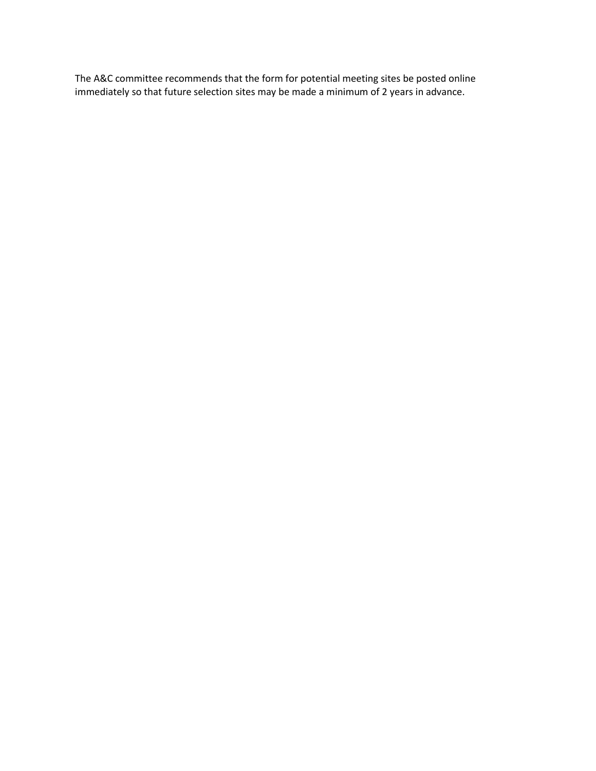The A&C committee recommends that the form for potential meeting sites be posted online immediately so that future selection sites may be made a minimum of 2 years in advance.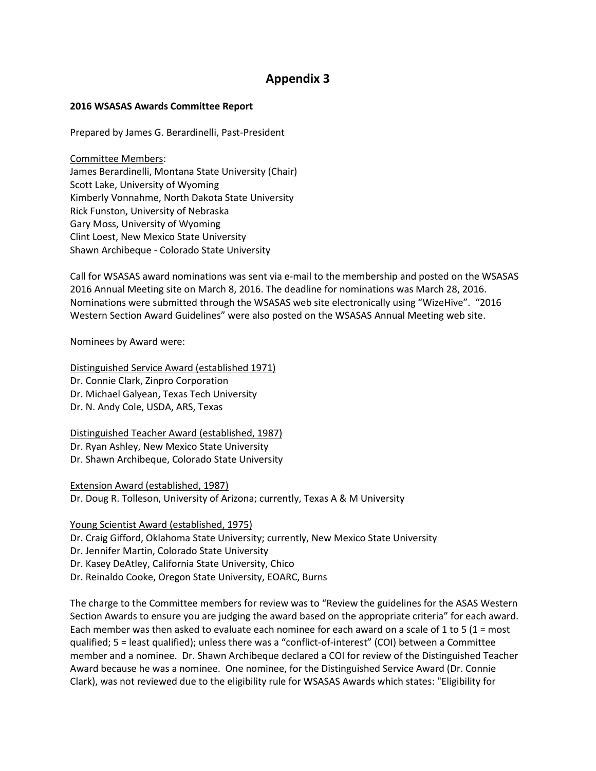#### **2016 WSASAS Awards Committee Report**

Prepared by James G. Berardinelli, Past-President

Committee Members: James Berardinelli, Montana State University (Chair) Scott Lake, University of Wyoming Kimberly Vonnahme, North Dakota State University Rick Funston, University of Nebraska Gary Moss, University of Wyoming Clint Loest, New Mexico State University Shawn Archibeque - Colorado State University

Call for WSASAS award nominations was sent via e-mail to the membership and posted on the WSASAS 2016 Annual Meeting site on March 8, 2016. The deadline for nominations was March 28, 2016. Nominations were submitted through the WSASAS web site electronically using "WizeHive". "2016 Western Section Award Guidelines" were also posted on the WSASAS Annual Meeting web site.

Nominees by Award were:

Distinguished Service Award (established 1971) Dr. Connie Clark, Zinpro Corporation Dr. Michael Galyean, Texas Tech University Dr. N. Andy Cole, USDA, ARS, Texas

Distinguished Teacher Award (established, 1987) Dr. Ryan Ashley, New Mexico State University Dr. Shawn Archibeque, Colorado State University

Extension Award (established, 1987) Dr. Doug R. Tolleson, University of Arizona; currently, Texas A & M University

Young Scientist Award (established, 1975)

Dr. Craig Gifford, Oklahoma State University; currently, New Mexico State University

Dr. Jennifer Martin, Colorado State University

Dr. Kasey DeAtley, California State University, Chico

Dr. Reinaldo Cooke, Oregon State University, EOARC, Burns

The charge to the Committee members for review was to "Review the guidelines for the ASAS Western Section Awards to ensure you are judging the award based on the appropriate criteria" for each award. Each member was then asked to evaluate each nominee for each award on a scale of 1 to 5 (1 = most qualified; 5 = least qualified); unless there was a "conflict-of-interest" (COI) between a Committee member and a nominee. Dr. Shawn Archibeque declared a COI for review of the Distinguished Teacher Award because he was a nominee. One nominee, for the Distinguished Service Award (Dr. Connie Clark), was not reviewed due to the eligibility rule for WSASAS Awards which states: "Eligibility for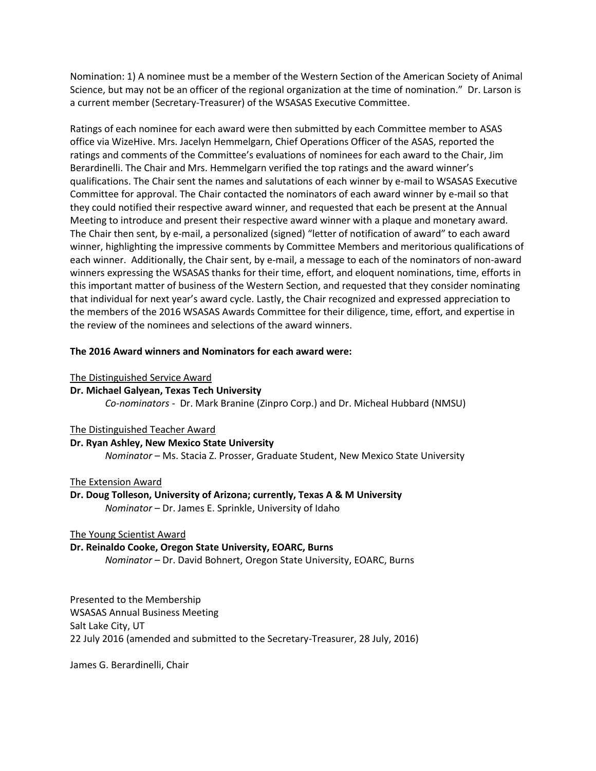Nomination: 1) A nominee must be a member of the Western Section of the American Society of Animal Science, but may not be an officer of the regional organization at the time of nomination." Dr. Larson is a current member (Secretary-Treasurer) of the WSASAS Executive Committee.

Ratings of each nominee for each award were then submitted by each Committee member to ASAS office via WizeHive. Mrs. Jacelyn Hemmelgarn, Chief Operations Officer of the ASAS, reported the ratings and comments of the Committee's evaluations of nominees for each award to the Chair, Jim Berardinelli. The Chair and Mrs. Hemmelgarn verified the top ratings and the award winner's qualifications. The Chair sent the names and salutations of each winner by e-mail to WSASAS Executive Committee for approval. The Chair contacted the nominators of each award winner by e-mail so that they could notified their respective award winner, and requested that each be present at the Annual Meeting to introduce and present their respective award winner with a plaque and monetary award. The Chair then sent, by e-mail, a personalized (signed) "letter of notification of award" to each award winner, highlighting the impressive comments by Committee Members and meritorious qualifications of each winner. Additionally, the Chair sent, by e-mail, a message to each of the nominators of non-award winners expressing the WSASAS thanks for their time, effort, and eloquent nominations, time, efforts in this important matter of business of the Western Section, and requested that they consider nominating that individual for next year's award cycle. Lastly, the Chair recognized and expressed appreciation to the members of the 2016 WSASAS Awards Committee for their diligence, time, effort, and expertise in the review of the nominees and selections of the award winners.

#### **The 2016 Award winners and Nominators for each award were:**

#### The Distinguished Service Award

#### **Dr. Michael Galyean, Texas Tech University**

*Co-nominators* - Dr. Mark Branine (Zinpro Corp.) and Dr. Micheal Hubbard (NMSU)

#### The Distinguished Teacher Award

**Dr. Ryan Ashley, New Mexico State University**

*Nominator* – Ms. Stacia Z. Prosser, Graduate Student, New Mexico State University

#### The Extension Award

**Dr. Doug Tolleson, University of Arizona; currently, Texas A & M University** *Nominator* – Dr. James E. Sprinkle, University of Idaho

#### The Young Scientist Award

#### **Dr. Reinaldo Cooke, Oregon State University, EOARC, Burns**

*Nominator* – Dr. David Bohnert, Oregon State University, EOARC, Burns

Presented to the Membership WSASAS Annual Business Meeting Salt Lake City, UT 22 July 2016 (amended and submitted to the Secretary-Treasurer, 28 July, 2016)

James G. Berardinelli, Chair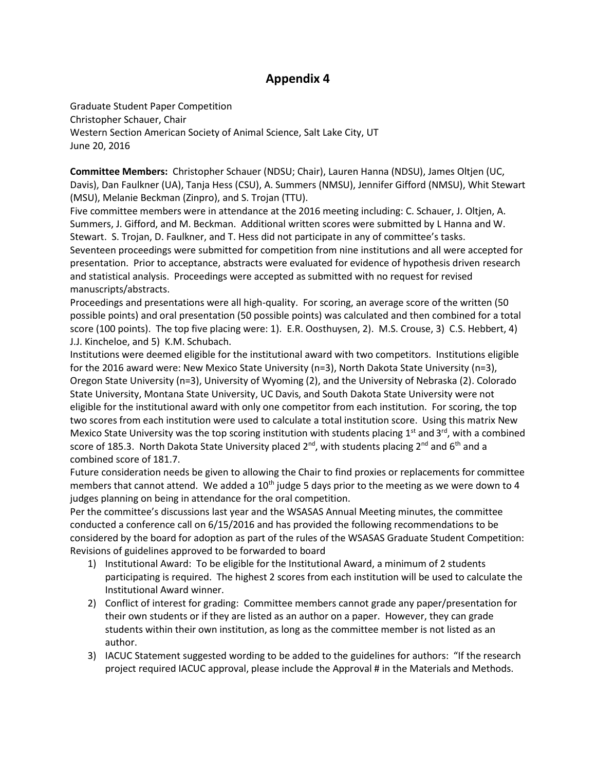Graduate Student Paper Competition Christopher Schauer, Chair Western Section American Society of Animal Science, Salt Lake City, UT June 20, 2016

**Committee Members:** Christopher Schauer (NDSU; Chair), Lauren Hanna (NDSU), James Oltjen (UC, Davis), Dan Faulkner (UA), Tanja Hess (CSU), A. Summers (NMSU), Jennifer Gifford (NMSU), Whit Stewart (MSU), Melanie Beckman (Zinpro), and S. Trojan (TTU).

Five committee members were in attendance at the 2016 meeting including: C. Schauer, J. Oltjen, A. Summers, J. Gifford, and M. Beckman. Additional written scores were submitted by L Hanna and W. Stewart. S. Trojan, D. Faulkner, and T. Hess did not participate in any of committee's tasks. Seventeen proceedings were submitted for competition from nine institutions and all were accepted for presentation. Prior to acceptance, abstracts were evaluated for evidence of hypothesis driven research and statistical analysis. Proceedings were accepted as submitted with no request for revised manuscripts/abstracts.

Proceedings and presentations were all high-quality. For scoring, an average score of the written (50 possible points) and oral presentation (50 possible points) was calculated and then combined for a total score (100 points). The top five placing were: 1). E.R. Oosthuysen, 2). M.S. Crouse, 3) C.S. Hebbert, 4) J.J. Kincheloe, and 5) K.M. Schubach.

Institutions were deemed eligible for the institutional award with two competitors. Institutions eligible for the 2016 award were: New Mexico State University (n=3), North Dakota State University (n=3), Oregon State University (n=3), University of Wyoming (2), and the University of Nebraska (2). Colorado State University, Montana State University, UC Davis, and South Dakota State University were not eligible for the institutional award with only one competitor from each institution. For scoring, the top two scores from each institution were used to calculate a total institution score. Using this matrix New Mexico State University was the top scoring institution with students placing 1<sup>st</sup> and 3<sup>rd</sup>, with a combined score of 185.3. North Dakota State University placed  $2^{nd}$ , with students placing  $2^{nd}$  and  $6^{th}$  and a combined score of 181.7.

Future consideration needs be given to allowing the Chair to find proxies or replacements for committee members that cannot attend. We added a  $10<sup>th</sup>$  judge 5 days prior to the meeting as we were down to 4 judges planning on being in attendance for the oral competition.

Per the committee's discussions last year and the WSASAS Annual Meeting minutes, the committee conducted a conference call on 6/15/2016 and has provided the following recommendations to be considered by the board for adoption as part of the rules of the WSASAS Graduate Student Competition: Revisions of guidelines approved to be forwarded to board

- 1) Institutional Award: To be eligible for the Institutional Award, a minimum of 2 students participating is required. The highest 2 scores from each institution will be used to calculate the Institutional Award winner.
- 2) Conflict of interest for grading: Committee members cannot grade any paper/presentation for their own students or if they are listed as an author on a paper. However, they can grade students within their own institution, as long as the committee member is not listed as an author.
- 3) IACUC Statement suggested wording to be added to the guidelines for authors: "If the research project required IACUC approval, please include the Approval # in the Materials and Methods.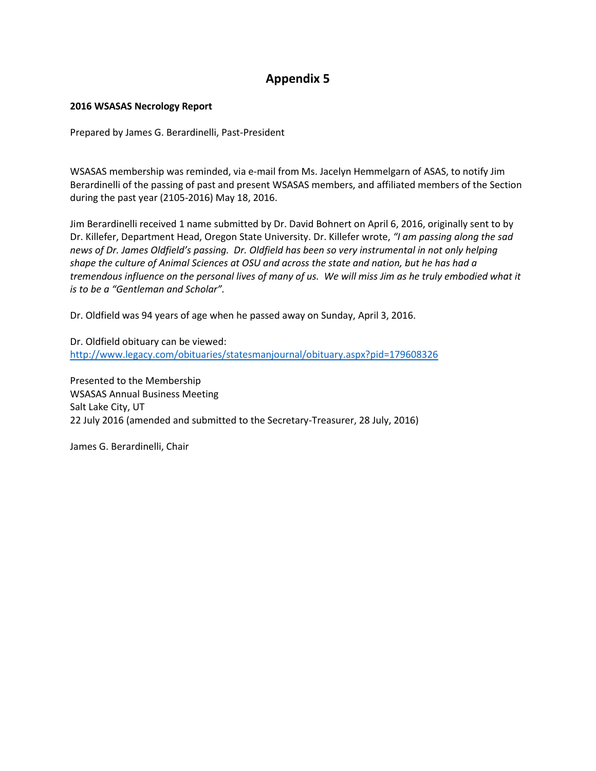#### **2016 WSASAS Necrology Report**

Prepared by James G. Berardinelli, Past-President

WSASAS membership was reminded, via e-mail from Ms. Jacelyn Hemmelgarn of ASAS, to notify Jim Berardinelli of the passing of past and present WSASAS members, and affiliated members of the Section during the past year (2105-2016) May 18, 2016.

Jim Berardinelli received 1 name submitted by Dr. David Bohnert on April 6, 2016, originally sent to by Dr. Killefer, Department Head, Oregon State University. Dr. Killefer wrote, *"I am passing along the sad news of Dr. James Oldfield's passing. Dr. Oldfield has been so very instrumental in not only helping shape the culture of Animal Sciences at OSU and across the state and nation, but he has had a tremendous influence on the personal lives of many of us. We will miss Jim as he truly embodied what it is to be a "Gentleman and Scholar".*

Dr. Oldfield was 94 years of age when he passed away on Sunday, April 3, 2016.

Dr. Oldfield obituary can be viewed: <http://www.legacy.com/obituaries/statesmanjournal/obituary.aspx?pid=179608326>

Presented to the Membership WSASAS Annual Business Meeting Salt Lake City, UT 22 July 2016 (amended and submitted to the Secretary-Treasurer, 28 July, 2016)

James G. Berardinelli, Chair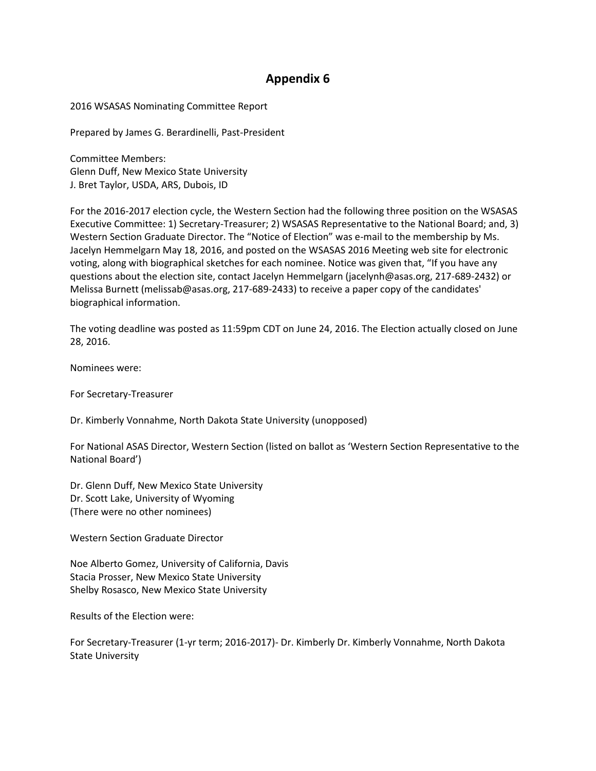2016 WSASAS Nominating Committee Report

Prepared by James G. Berardinelli, Past-President

Committee Members: Glenn Duff, New Mexico State University J. Bret Taylor, USDA, ARS, Dubois, ID

For the 2016-2017 election cycle, the Western Section had the following three position on the WSASAS Executive Committee: 1) Secretary-Treasurer; 2) WSASAS Representative to the National Board; and, 3) Western Section Graduate Director. The "Notice of Election" was e-mail to the membership by Ms. Jacelyn Hemmelgarn May 18, 2016, and posted on the WSASAS 2016 Meeting web site for electronic voting, along with biographical sketches for each nominee. Notice was given that, "If you have any questions about the election site, contact Jacelyn Hemmelgarn (jacelynh@asas.org, 217-689-2432) or Melissa Burnett (melissab@asas.org, 217-689-2433) to receive a paper copy of the candidates' biographical information.

The voting deadline was posted as 11:59pm CDT on June 24, 2016. The Election actually closed on June 28, 2016.

Nominees were:

For Secretary-Treasurer

Dr. Kimberly Vonnahme, North Dakota State University (unopposed)

For National ASAS Director, Western Section (listed on ballot as 'Western Section Representative to the National Board')

Dr. Glenn Duff, New Mexico State University Dr. Scott Lake, University of Wyoming (There were no other nominees)

Western Section Graduate Director

Noe Alberto Gomez, University of California, Davis Stacia Prosser, New Mexico State University Shelby Rosasco, New Mexico State University

Results of the Election were:

For Secretary-Treasurer (1-yr term; 2016-2017)- Dr. Kimberly Dr. Kimberly Vonnahme, North Dakota State University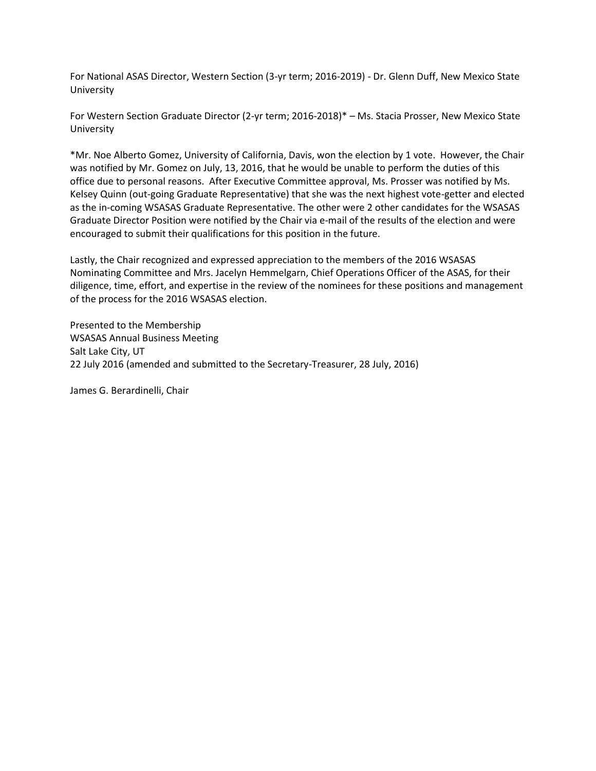For National ASAS Director, Western Section (3-yr term; 2016-2019) - Dr. Glenn Duff, New Mexico State University

For Western Section Graduate Director (2-yr term; 2016-2018)\* – Ms. Stacia Prosser, New Mexico State University

\*Mr. Noe Alberto Gomez, University of California, Davis, won the election by 1 vote. However, the Chair was notified by Mr. Gomez on July, 13, 2016, that he would be unable to perform the duties of this office due to personal reasons. After Executive Committee approval, Ms. Prosser was notified by Ms. Kelsey Quinn (out-going Graduate Representative) that she was the next highest vote-getter and elected as the in-coming WSASAS Graduate Representative. The other were 2 other candidates for the WSASAS Graduate Director Position were notified by the Chair via e-mail of the results of the election and were encouraged to submit their qualifications for this position in the future.

Lastly, the Chair recognized and expressed appreciation to the members of the 2016 WSASAS Nominating Committee and Mrs. Jacelyn Hemmelgarn, Chief Operations Officer of the ASAS, for their diligence, time, effort, and expertise in the review of the nominees for these positions and management of the process for the 2016 WSASAS election.

Presented to the Membership WSASAS Annual Business Meeting Salt Lake City, UT 22 July 2016 (amended and submitted to the Secretary-Treasurer, 28 July, 2016)

James G. Berardinelli, Chair